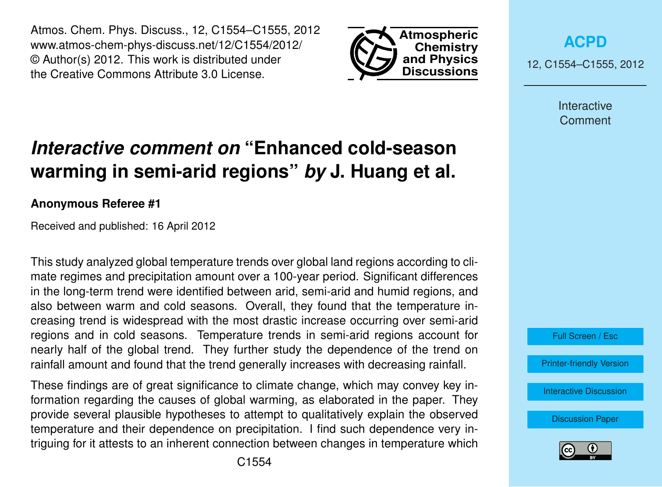Atmos. Chem. Phys. Discuss., 12, C1554–C1555, 2012 www.atmos-chem-phys-discuss.net/12/C1554/2012/ © Author(s) 2012. This work is distributed under the Creative Commons Attribute 3.0 License.



**[ACPD](http://www.atmos-chem-phys-discuss.net)**

12, C1554–C1555, 2012

Interactive **Comment** 

## *Interactive comment on* **"Enhanced cold-season warming in semi-arid regions"** *by* **J. Huang et al.**

## **Anonymous Referee #1**

Received and published: 16 April 2012

This study analyzed global temperature trends over global land regions according to climate regimes and precipitation amount over a 100-year period. Significant differences in the long-term trend were identified between arid, semi-arid and humid regions, and also between warm and cold seasons. Overall, they found that the temperature increasing trend is widespread with the most drastic increase occurring over semi-arid regions and in cold seasons. Temperature trends in semi-arid regions account for nearly half of the global trend. They further study the dependence of the trend on rainfall amount and found that the trend generally increases with decreasing rainfall.

These findings are of great significance to climate change, which may convey key information regarding the causes of global warming, as elaborated in the paper. They provide several plausible hypotheses to attempt to qualitatively explain the observed temperature and their dependence on precipitation. I find such dependence very intriguing for it attests to an inherent connection between changes in temperature which